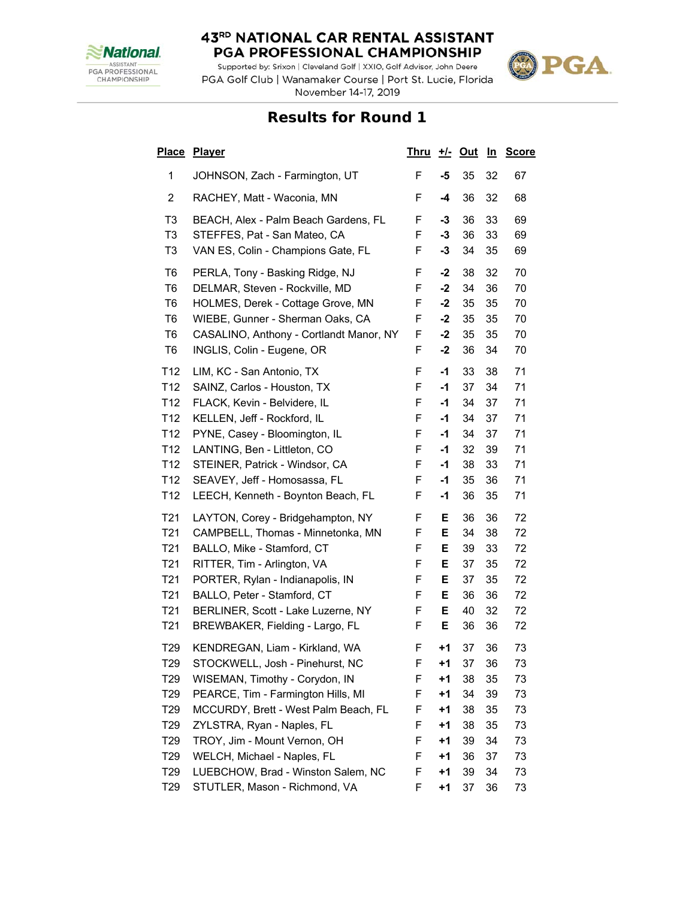

Supported by: Srixon | Cleveland Golf | XXIO, Golf Advisor, John Deere PGA Golf Club | Wanamaker Course | Port St. Lucie, Florida November 14-17, 2019



| <u>Place</u>    | <b>Player</b>                           | <u>Thru</u> | <u>+/-</u> | <u>Out</u> | <u>In</u> | <b>Score</b> |
|-----------------|-----------------------------------------|-------------|------------|------------|-----------|--------------|
| 1               | JOHNSON, Zach - Farmington, UT          | F           | -5         | 35         | 32        | 67           |
| $\overline{c}$  | RACHEY, Matt - Waconia, MN              | F           | $-4$       | 36         | 32        | 68           |
| T3              | BEACH, Alex - Palm Beach Gardens, FL    | F           | -3         | 36         | 33        | 69           |
| T <sub>3</sub>  | STEFFES, Pat - San Mateo, CA            | F           | $-3$       | 36         | 33        | 69           |
| T <sub>3</sub>  | VAN ES, Colin - Champions Gate, FL      | F           | -3         | 34         | 35        | 69           |
| T6              | PERLA, Tony - Basking Ridge, NJ         | F           | -2         | 38         | 32        | 70           |
| T <sub>6</sub>  | DELMAR, Steven - Rockville, MD          | F           | $-2$       | 34         | 36        | 70           |
| T <sub>6</sub>  | HOLMES, Derek - Cottage Grove, MN       | F           | $-2$       | 35         | 35        | 70           |
| T6              | WIEBE, Gunner - Sherman Oaks, CA        | F           | -2         | 35         | 35        | 70           |
| T <sub>6</sub>  | CASALINO, Anthony - Cortlandt Manor, NY | F           | $-2$       | 35         | 35        | 70           |
| T <sub>6</sub>  | INGLIS, Colin - Eugene, OR              | F           | $-2$       | 36         | 34        | 70           |
| T <sub>12</sub> | LIM, KC - San Antonio, TX               | F           | -1         | 33         | 38        | 71           |
| T <sub>12</sub> | SAINZ, Carlos - Houston, TX             | F           | -1         | 37         | 34        | 71           |
| T12             | FLACK, Kevin - Belvidere, IL            | F           | -1         | 34         | 37        | 71           |
| T12             | KELLEN, Jeff - Rockford, IL             | F           | -1         | 34         | 37        | 71           |
| T <sub>12</sub> | PYNE, Casey - Bloomington, IL           | F           | -1         | 34         | 37        | 71           |
| T <sub>12</sub> | LANTING, Ben - Littleton, CO            | F           | $-1$       | 32         | 39        | 71           |
| T <sub>12</sub> | STEINER, Patrick - Windsor, CA          | F           | -1         | 38         | 33        | 71           |
| T <sub>12</sub> | SEAVEY, Jeff - Homosassa, FL            | F           | -1         | 35         | 36        | 71           |
| T <sub>12</sub> | LEECH, Kenneth - Boynton Beach, FL      | F           | -1         | 36         | 35        | 71           |
| T <sub>21</sub> | LAYTON, Corey - Bridgehampton, NY       | F           | Е          | 36         | 36        | 72           |
| T <sub>21</sub> | CAMPBELL, Thomas - Minnetonka, MN       | F           | Е          | 34         | 38        | 72           |
| T <sub>21</sub> | BALLO, Mike - Stamford, CT              | F           | Е          | 39         | 33        | 72           |
| T <sub>21</sub> | RITTER, Tim - Arlington, VA             | F           | Е          | 37         | 35        | 72           |
| T <sub>21</sub> | PORTER, Rylan - Indianapolis, IN        | F           | Е          | 37         | 35        | 72           |
| T <sub>21</sub> | BALLO, Peter - Stamford, CT             | F           | Е          | 36         | 36        | 72           |
| T <sub>21</sub> | BERLINER, Scott - Lake Luzerne, NY      | F           | E.         | 40         | 32        | 72           |
| T <sub>21</sub> | BREWBAKER, Fielding - Largo, FL         | F           | Е          | 36         | 36        | 72           |
| T <sub>29</sub> | KENDREGAN, Liam - Kirkland, WA          | F           | $+1$       | 37         | 36        | 73           |
| T29             | STOCKWELL, Josh - Pinehurst, NC         | F           | +1         | 37         | 36        | 73           |
| T <sub>29</sub> | WISEMAN, Timothy - Corydon, IN          | F           | +1         | 38         | 35        | 73           |
| T <sub>29</sub> | PEARCE, Tim - Farmington Hills, MI      | F           | +1         | 34         | 39        | 73           |
| T <sub>29</sub> | MCCURDY, Brett - West Palm Beach, FL    | F           | +1         | 38         | 35        | 73           |
| T <sub>29</sub> | ZYLSTRA, Ryan - Naples, FL              | F           | +1         | 38         | 35        | 73           |
| T <sub>29</sub> | TROY, Jim - Mount Vernon, OH            | F           | +1         | 39         | 34        | 73           |
| T <sub>29</sub> | WELCH, Michael - Naples, FL             | F           | +1         | 36         | 37        | 73           |
| T <sub>29</sub> | LUEBCHOW, Brad - Winston Salem, NC      | F           | +1         | 39         | 34        | 73           |
| T29             | STUTLER, Mason - Richmond, VA           | F           | +1         | 37         | 36        | 73           |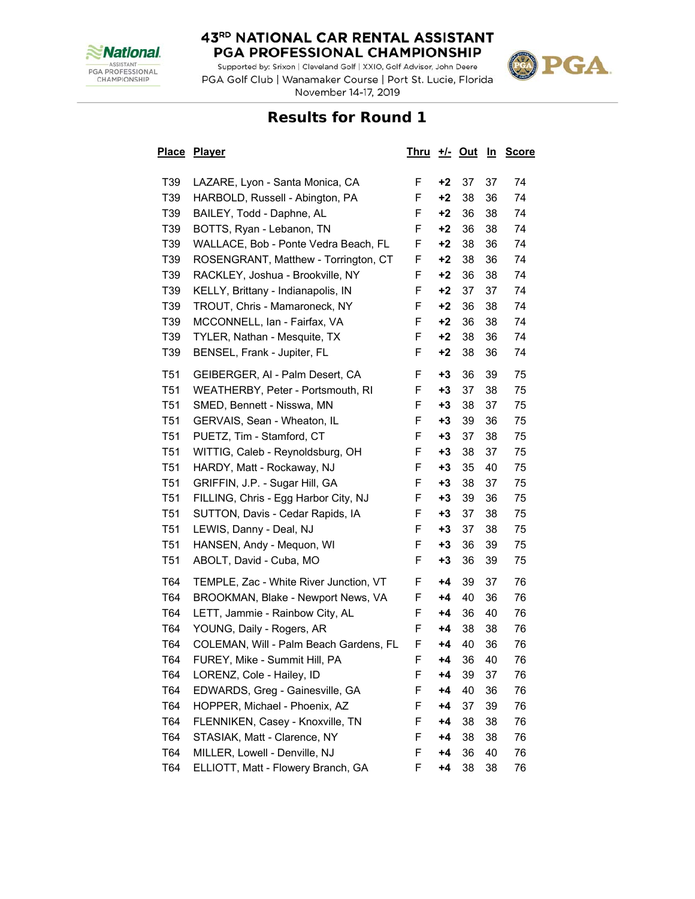

Supported by: Srixon | Cleveland Golf | XXIO, Golf Advisor, John Deere PGA Golf Club | Wanamaker Course | Port St. Lucie, Florida November 14-17, 2019



| <u>Place</u> | <b>Player</b>                          | <u>Thru</u> |      | <u>+/- Out</u> | <u>In</u> | <b>Score</b> |
|--------------|----------------------------------------|-------------|------|----------------|-----------|--------------|
| T39          | LAZARE, Lyon - Santa Monica, CA        | F.          | +2   | 37             | 37        | 74           |
| T39          | HARBOLD, Russell - Abington, PA        | F           | $+2$ | 38             | 36        | 74           |
| T39          | BAILEY, Todd - Daphne, AL              | F           | $+2$ | 36             | 38        | 74           |
| T39          | BOTTS, Ryan - Lebanon, TN              | F           | $+2$ | 36             | 38        | 74           |
| T39          | WALLACE, Bob - Ponte Vedra Beach, FL   | F           | +2   | 38             | 36        | 74           |
| T39          | ROSENGRANT, Matthew - Torrington, CT   | F           | $+2$ | 38             | 36        | 74           |
| T39          | RACKLEY, Joshua - Brookville, NY       | F           | $+2$ | 36             | 38        | 74           |
| T39          | KELLY, Brittany - Indianapolis, IN     | F           | +2   | 37             | 37        | 74           |
| T39          | TROUT, Chris - Mamaroneck, NY          | F           | +2   | 36             | 38        | 74           |
| T39          | MCCONNELL, Ian - Fairfax, VA           | F           | $+2$ | 36             | 38        | 74           |
| T39          | TYLER, Nathan - Mesquite, TX           | F           | $+2$ | 38             | 36        | 74           |
| T39          | BENSEL, Frank - Jupiter, FL            | F           | +2   | 38             | 36        | 74           |
| <b>T51</b>   | GEIBERGER, AI - Palm Desert, CA        | F           | $+3$ | 36             | 39        | 75           |
| <b>T51</b>   | WEATHERBY, Peter - Portsmouth, RI      | F           | $+3$ | 37             | 38        | 75           |
| T51          | SMED, Bennett - Nisswa, MN             | F           | $+3$ | 38             | 37        | 75           |
| T51          | GERVAIS, Sean - Wheaton, IL            | F           | $+3$ | 39             | 36        | 75           |
| <b>T51</b>   | PUETZ, Tim - Stamford, CT              | F           | +3   | 37             | 38        | 75           |
| <b>T51</b>   | WITTIG, Caleb - Reynoldsburg, OH       | F           | $+3$ | 38             | 37        | 75           |
| <b>T51</b>   | HARDY, Matt - Rockaway, NJ             | F           | +3   | 35             | 40        | 75           |
| T51          | GRIFFIN, J.P. - Sugar Hill, GA         | F           | $+3$ | 38             | 37        | 75           |
| <b>T51</b>   | FILLING, Chris - Egg Harbor City, NJ   | F           | $+3$ | 39             | 36        | 75           |
| T51          | SUTTON, Davis - Cedar Rapids, IA       | F           | $+3$ | 37             | 38        | 75           |
| <b>T51</b>   | LEWIS, Danny - Deal, NJ                | F           | $+3$ | 37             | 38        | 75           |
| <b>T51</b>   | HANSEN, Andy - Mequon, WI              | F           | $+3$ | 36             | 39        | 75           |
| <b>T51</b>   | ABOLT, David - Cuba, MO                | F           | $+3$ | 36             | 39        | 75           |
| T64          | TEMPLE, Zac - White River Junction, VT | F           | +4   | 39             | 37        | 76           |
| T64          | BROOKMAN, Blake - Newport News, VA     | F           | +4   | 40             | 36        | 76           |
| T64          | LETT, Jammie - Rainbow City, AL        | F           | +4   | 36             | 40        | 76           |
| T64          | YOUNG, Daily - Rogers, AR              | F           | +4   | 38             | 38        | 76           |
| T64          | COLEMAN, Will - Palm Beach Gardens, FL | F           | +4   | 40             | 36        | 76           |
| 164          | FUREY, Mike - Summit Hill, PA          | F           | +4   | 36             | 40        | 76           |
| T64          | LORENZ, Cole - Hailey, ID              | F           | +4   | 39             | 37        | 76           |
| T64          | EDWARDS, Greg - Gainesville, GA        | F           | $+4$ | 40             | 36        | 76           |
| T64          | HOPPER, Michael - Phoenix, AZ          | F           | +4   | 37             | 39        | 76           |
| T64          | FLENNIKEN, Casey - Knoxville, TN       | F           | +4   | 38             | 38        | 76           |
| T64          | STASIAK, Matt - Clarence, NY           | F           | +4   | 38             | 38        | 76           |
| T64          | MILLER, Lowell - Denville, NJ          | F           | +4   | 36             | 40        | 76           |
| T64          | ELLIOTT, Matt - Flowery Branch, GA     | F           | +4   | 38             | 38        | 76           |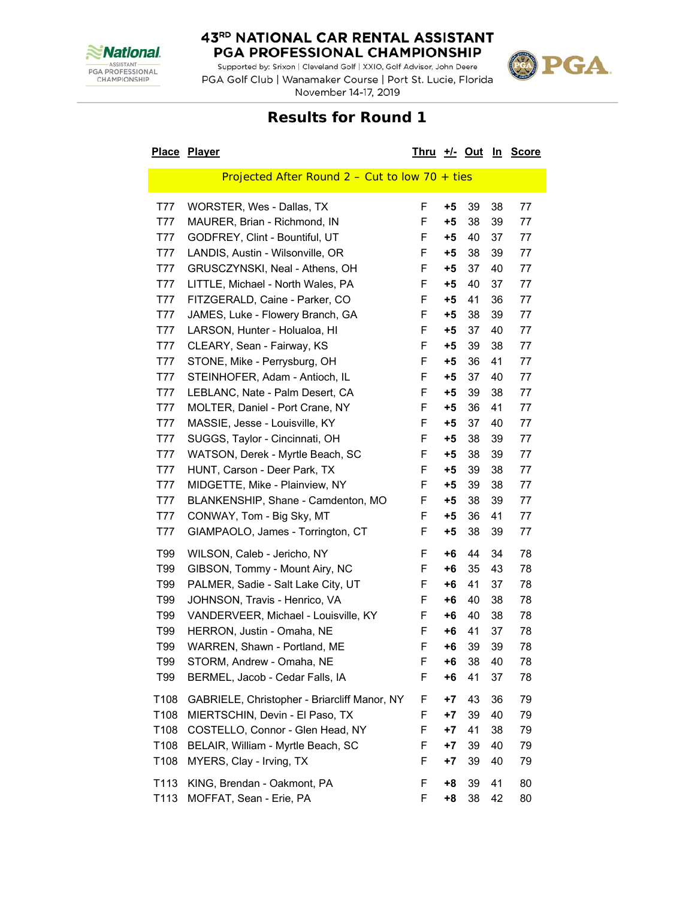

Supported by: Srixon | Cleveland Golf | XXIO, Golf Advisor, John Deere PGA Golf Club | Wanamaker Course | Port St. Lucie, Florida November 14-17, 2019



|              | Place Player                                           | <u>Thru +/- Out In</u> |          |          |          | <b>Score</b> |
|--------------|--------------------------------------------------------|------------------------|----------|----------|----------|--------------|
|              | Projected After Round $2 -$ Cut to low 70 + ties       |                        |          |          |          |              |
| T77          | WORSTER, Wes - Dallas, TX                              | F                      | $+5$     | 39       | 38       | 77           |
| T77          | MAURER, Brian - Richmond, IN                           | F                      | $+5$     | 38       | 39       | 77           |
| T77          | GODFREY, Clint - Bountiful, UT                         | F                      | $+5$     | 40       | 37       | 77           |
| T77          | LANDIS, Austin - Wilsonville, OR                       | F                      | +5       | 38       | 39       | 77           |
| T77          | GRUSCZYNSKI, Neal - Athens, OH                         | F                      | $+5$     | 37       | 40       | 77           |
| T77          | LITTLE, Michael - North Wales, PA                      | F                      | +5       | 40       | 37       | 77           |
| T77          | FITZGERALD, Caine - Parker, CO                         | F                      | +5       | 41       | 36       | 77           |
| T77          | JAMES, Luke - Flowery Branch, GA                       | F                      | $+5$     | 38       | 39       | 77           |
| T77          | LARSON, Hunter - Holualoa, HI                          | F                      | $+5$     | 37       | 40       | 77           |
| T77          | CLEARY, Sean - Fairway, KS                             | F                      | $+5$     | 39       | 38       | 77           |
| T77          | STONE, Mike - Perrysburg, OH                           | F                      | $+5$     | 36       | 41       | 77           |
| T77          | STEINHOFER, Adam - Antioch, IL                         | F                      | $+5$     | 37       | 40       | 77           |
| T77          | LEBLANC, Nate - Palm Desert, CA                        | F                      | $+5$     | 39       | 38       | 77           |
| T77          | MOLTER, Daniel - Port Crane, NY                        | F                      | $+5$     | 36       | 41       | 77           |
| T77          | MASSIE, Jesse - Louisville, KY                         | F                      | $+5$     | 37       | 40       | 77           |
| T77          | SUGGS, Taylor - Cincinnati, OH                         | F                      | $+5$     | 38       | 39       | 77           |
| T77          | WATSON, Derek - Myrtle Beach, SC                       | F                      | +5       | 38       | 39       | 77           |
| T77          | HUNT, Carson - Deer Park, TX                           | F                      | $+5$     | 39       | 38       | 77           |
| T77          | MIDGETTE, Mike - Plainview, NY                         | F                      | $+5$     | 39       | 38       | 77           |
| T77          | BLANKENSHIP, Shane - Camdenton, MO                     | F                      | $+5$     | 38       | 39       | 77           |
| T77          | CONWAY, Tom - Big Sky, MT                              | F                      | +5       | 36       | 41       | 77           |
| T77          | GIAMPAOLO, James - Torrington, CT                      | F                      | +5       | 38       | 39       | 77           |
| T99          | WILSON, Caleb - Jericho, NY                            | F                      | +6       | 44       | 34       | 78           |
| T99          | GIBSON, Tommy - Mount Airy, NC                         | F                      | +6       | 35       | 43       | 78           |
| T99          | PALMER, Sadie - Salt Lake City, UT                     | F                      | +6       | 41       | 37       | 78           |
| T99          | JOHNSON, Travis - Henrico, VA                          | F                      | +6       | 40       | 38       | 78           |
| T99          | VANDERVEER, Michael - Louisville, KY                   | F                      | +6       | 40       | 38       | 78           |
| T99          | HERRON, Justin - Omaha, NE                             | F                      | +6       | 41       | 37       | 78           |
| T99          | WARREN, Shawn - Portland, ME                           | F                      | +6       | 39       | 39       | 78           |
| T99          | STORM, Andrew - Omaha, NE                              | F                      | +6       | 38       | 40       | 78           |
| T99          | BERMEL, Jacob - Cedar Falls, IA                        | F                      | $+6$     | 41       | 37       | 78           |
| T108         | GABRIELE, Christopher - Briarcliff Manor, NY           | F                      | +7       | 43       | 36       | 79           |
| T108         | MIERTSCHIN, Devin - El Paso, TX                        | F                      | $+7$     | 39       | 40       | 79           |
| T108         | COSTELLO, Connor - Glen Head, NY                       | F                      | $+7$     | 41       | 38       | 79           |
| T108         | BELAIR, William - Myrtle Beach, SC                     | F                      | $+7$     | 39       | 40       | 79           |
| T108         | MYERS, Clay - Irving, TX                               | F                      | +7       | 39       | 40       | 79           |
| T113<br>T113 | KING, Brendan - Oakmont, PA<br>MOFFAT, Sean - Erie, PA | F<br>F                 | +8<br>+8 | 39<br>38 | 41<br>42 | 80<br>80     |